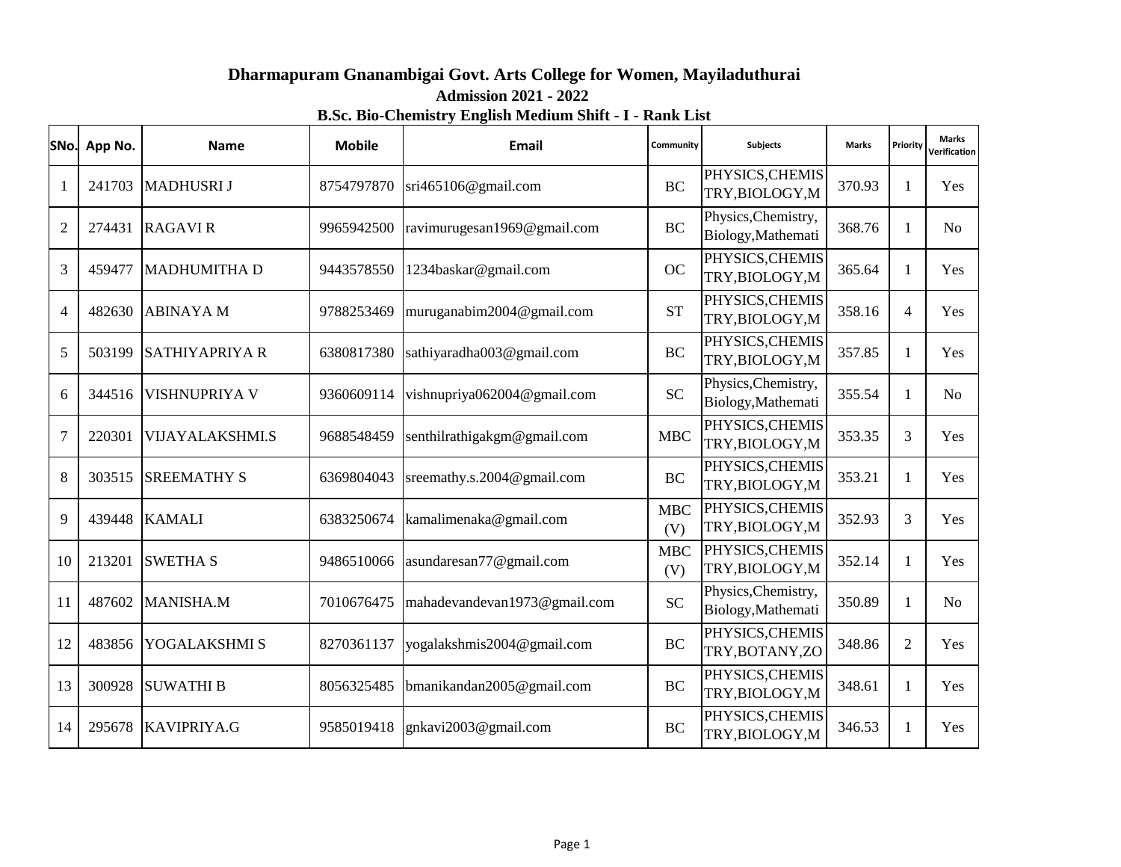## **Dharmapuram Gnanambigai Govt. Arts College for Women, Mayiladuthurai B.Sc. Bio-Chemistry English Medium Shift - I - Rank List Admission 2021 - 2022**

| SNo.           | App No. | <b>Name</b>            | <b>Mobile</b> | Email                        | Community          | <b>Subjects</b>                           | <b>Marks</b> | Priority       | <b>Marks</b><br>Verification |
|----------------|---------|------------------------|---------------|------------------------------|--------------------|-------------------------------------------|--------------|----------------|------------------------------|
| 1              | 241703  | <b>MADHUSRI J</b>      | 8754797870    | sri465106@gmail.com          | <b>BC</b>          | PHYSICS, CHEMIS<br>TRY, BIOLOGY, M        | 370.93       | 1              | Yes                          |
| $\overline{2}$ | 274431  | <b>RAGAVIR</b>         | 9965942500    | ravimurugesan1969@gmail.com  | <b>BC</b>          | Physics, Chemistry,<br>Biology, Mathemati | 368.76       | 1              | N <sub>o</sub>               |
| 3              | 459477  | <b>MADHUMITHA D</b>    | 9443578550    | 1234baskar@gmail.com         | <b>OC</b>          | PHYSICS, CHEMIS<br>TRY, BIOLOGY, M        | 365.64       | 1              | Yes                          |
| 4              | 482630  | <b>ABINAYAM</b>        | 9788253469    | muruganabim2004@gmail.com    | <b>ST</b>          | PHYSICS, CHEMIS<br>TRY, BIOLOGY, M        | 358.16       | $\overline{4}$ | Yes                          |
| 5              | 503199  | <b>SATHIYAPRIYA R</b>  | 6380817380    | sathiyaradha003@gmail.com    | <b>BC</b>          | PHYSICS, CHEMIS<br>TRY, BIOLOGY, M        | 357.85       | 1              | Yes                          |
| 6              | 344516  | <b>VISHNUPRIYA V</b>   | 9360609114    | vishnupriya062004@gmail.com  | <b>SC</b>          | Physics, Chemistry,<br>Biology, Mathemati | 355.54       | 1              | N <sub>o</sub>               |
| $\overline{7}$ | 220301  | <b>VIJAYALAKSHMI.S</b> | 9688548459    | senthilrathigakgm@gmail.com  | <b>MBC</b>         | PHYSICS, CHEMIS<br>TRY, BIOLOGY, M        | 353.35       | 3              | Yes                          |
| 8              | 303515  | <b>SREEMATHY S</b>     | 6369804043    | sreemathy.s.2004@gmail.com   | BC                 | PHYSICS, CHEMIS<br>TRY, BIOLOGY, M        | 353.21       | 1              | Yes                          |
| 9              | 439448  | <b>KAMALI</b>          | 6383250674    | kamalimenaka@gmail.com       | <b>MBC</b><br>(V)  | PHYSICS, CHEMIS<br>TRY, BIOLOGY, M        | 352.93       | 3              | Yes                          |
| 10             | 213201  | <b>SWETHA S</b>        | 9486510066    | asundaresan77@gmail.com      | ${\rm MBC}$<br>(V) | PHYSICS, CHEMIS<br>TRY, BIOLOGY, M        | 352.14       | $\mathbf{1}$   | Yes                          |
| 11             | 487602  | <b>MANISHA.M</b>       | 7010676475    | mahadevandevan1973@gmail.com | <b>SC</b>          | Physics, Chemistry,<br>Biology, Mathemati | 350.89       | $\mathbf{1}$   | N <sub>o</sub>               |
| 12             | 483856  | YOGALAKSHMI S          | 8270361137    | yogalakshmis2004@gmail.com   | <b>BC</b>          | PHYSICS, CHEMIS<br>TRY, BOTANY, ZO        | 348.86       | $\overline{2}$ | Yes                          |
| 13             | 300928  | <b>SUWATHI B</b>       | 8056325485    | bmanikandan2005@gmail.com    | <b>BC</b>          | PHYSICS, CHEMIS<br>TRY, BIOLOGY, M        | 348.61       |                | Yes                          |
| 14             | 295678  | <b>KAVIPRIYA.G</b>     | 9585019418    | gnkavi2003@gmail.com         | BC                 | PHYSICS, CHEMIS<br>TRY, BIOLOGY, M        | 346.53       | 1              | Yes                          |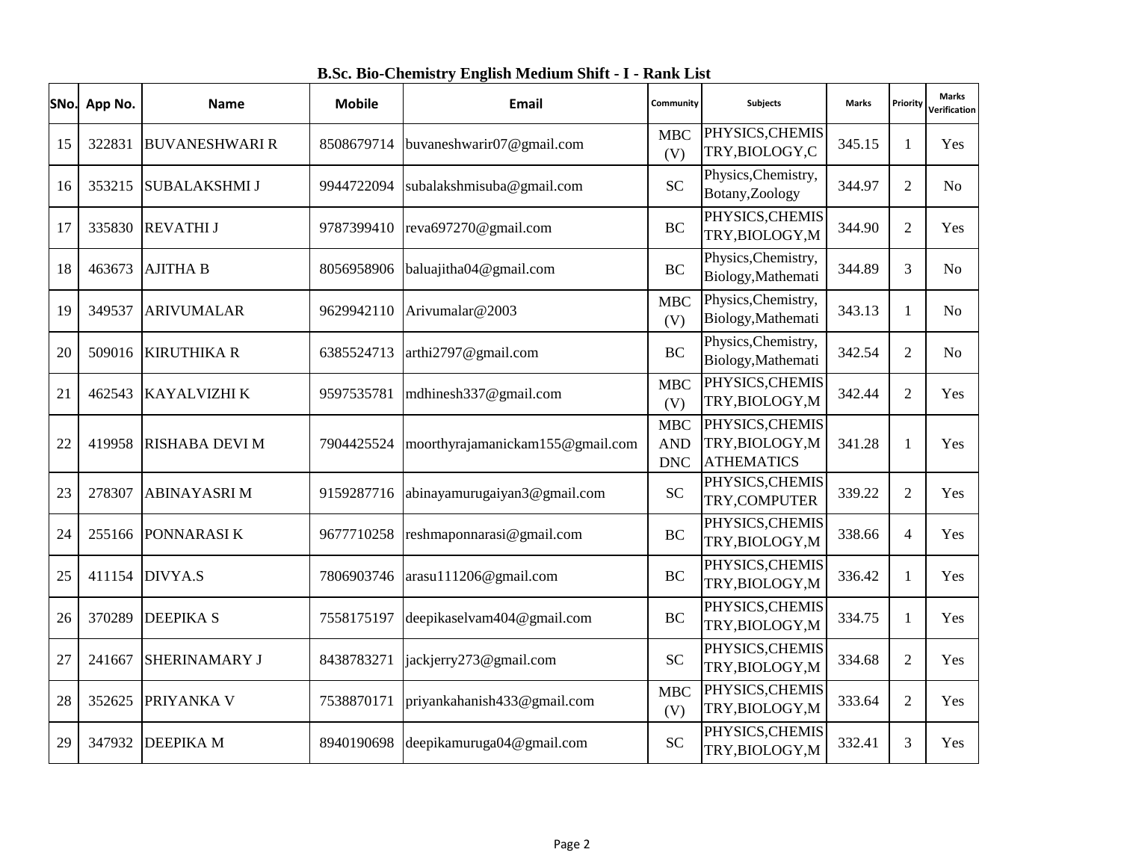**SNo. App No. Name Mobile Email Community Subjects Marks Priority Verification** 15 322831 BUVANESHWARI R 8508679714 buvaneshwarir07@gmail.com MBC (V) PHYSICS,CHEMIS TRY,BIOLOGY,C Physics, Chemistry, 345.15 1 Yes 16 353215 SUBALAKSHMI J 9944722094 subalakshmisuba@gmail.com SC Botany,Zoology 344.97 2 No 17 335830 REVATHI J 9787399410 reva697270@gmail.com BC PHYSICS,CHEMIS TRY,BIOLOGY,M Physics, Chemistry, 344.90 2 Yes 18 463673 AJITHA B 8056958906 baluajitha04@gmail.com RC Biology,Mathemati Physics, Chemistry, 344.89 3 No <sup>19</sup> <sup>349537</sup> ARIVUMALAR <sup>9629942110</sup> Arivumalar@2003 MBC (V) Biology,Mathemati Physics, Chemistry, 343.13 1 No 20 509016 KIRUTHIKA R 6385524713 arthi2797@gmail.com BC Biology,Mathemati PHYSICS, CHEMIS 342.54 2 No 21 462543 KAYALVIZHI K 9597535781 mdhinesh337@gmail.com MBC (V) TRY,BIOLOGY,M PHYSICS, CHEMIS 342.44 2 Yes 22 419958 RISHABA DEVI M 7904425524 moorthyrajamanickam155@gmail.com MBC AND DNC TRY,BIOLOGY,M ATHEMATICS 341.28 1 Yes 23 278307 ABINAYASRI M 9159287716 abinayamurugaiyan3@gmail.com SC PHYSICS,CHEMIS TRY,COMPUTER PHYSICS, CHEMIS 339.22 2 Yes 24 255166 PONNARASI K 9677710258 reshmaponnarasi@gmail.com BC TRY,BIOLOGY,M PHYSICS, CHEMIS 338.66 4 Yes 25 411154 DIVYA.S 7806903746 arasu111206@gmail.com BC TRY,BIOLOGY,M PHYSICS, CHEMIS 336.42 1 Yes 26 370289 DEEPIKA S 7558175197 deepikaselvam404@gmail.com BC TRY,BIOLOGY,M PHYSICS, CHEMIS 334.75 1 Yes 27 241667 SHERINAMARY J 8438783271 jackjerry273@gmail.com SC TRY,BIOLOGY,M PHYSICS, CHEMIS 334.68 2 Yes 28 352625 PRIYANKA V 7538870171 priyankahanish433@gmail.com MBC TRY,BIOLOGY,M 333.64 2 Yes

29 347932 DEEPIKA M 8940190698 deepikamuruga04@gmail.com SC

**Marks** 

(V)

PHYSICS, CHEMIS

332.41 3 Yes

TRY,BIOLOGY,M ATHEMATICS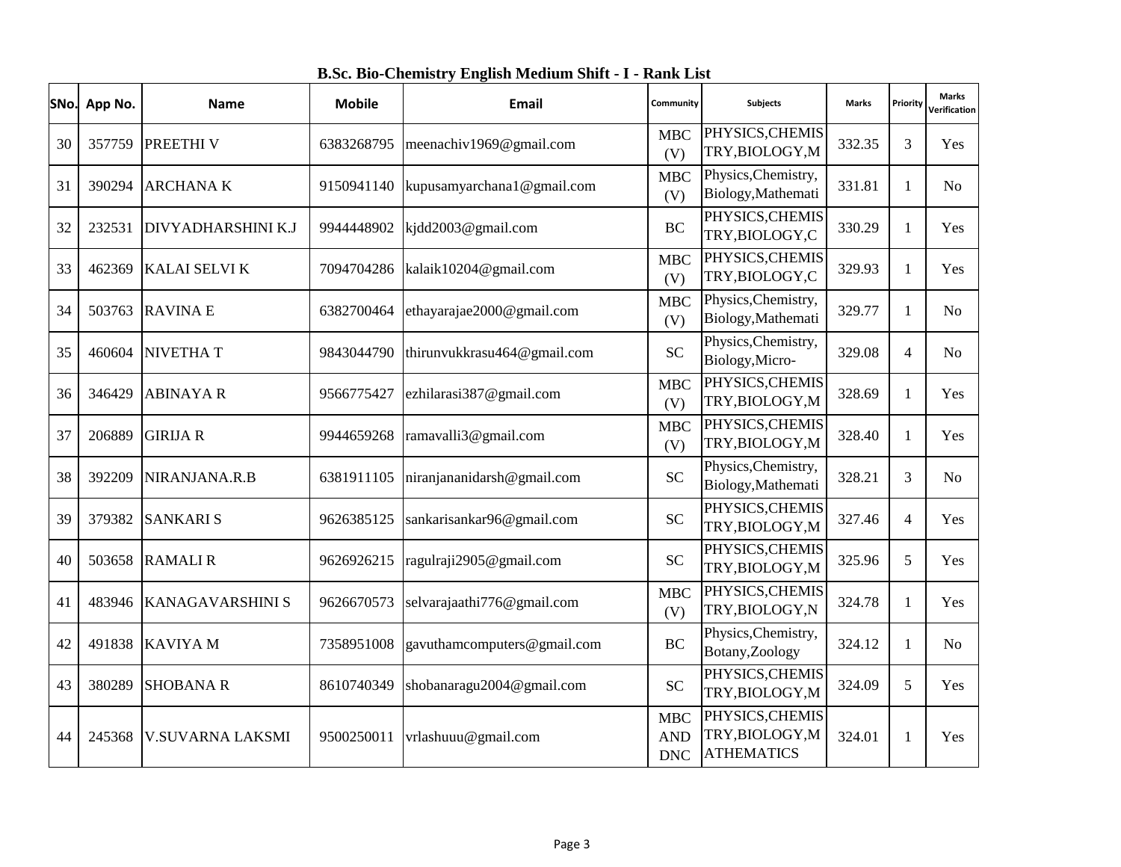| SNo. | App No. | <b>Name</b>             | <b>Mobile</b> | <b>Email</b>                | Community                              | <b>Subjects</b>                                         | <b>Marks</b> | Priority       | Marks<br>Verification |
|------|---------|-------------------------|---------------|-----------------------------|----------------------------------------|---------------------------------------------------------|--------------|----------------|-----------------------|
| 30   | 357759  | PREETHI V               | 6383268795    | meenachiv1969@gmail.com     | <b>MBC</b><br>(V)                      | PHYSICS, CHEMIS<br>TRY, BIOLOGY, M                      | 332.35       | 3              | Yes                   |
| 31   | 390294  | <b>ARCHANAK</b>         | 9150941140    | kupusamyarchana1@gmail.com  | <b>MBC</b><br>(V)                      | Physics, Chemistry,<br>Biology, Mathemati               | 331.81       | 1              | No                    |
| 32   | 232531  | DIVYADHARSHINI K.J      | 9944448902    | kjdd2003@gmail.com          | <b>BC</b>                              | PHYSICS, CHEMIS<br>TRY, BIOLOGY, C                      | 330.29       | 1              | Yes                   |
| 33   | 462369  | <b>KALAI SELVI K</b>    | 7094704286    | kalaik10204@gmail.com       | <b>MBC</b><br>(V)                      | PHYSICS, CHEMIS<br>TRY, BIOLOGY, C                      | 329.93       | 1              | <b>Yes</b>            |
| 34   | 503763  | <b>RAVINAE</b>          | 6382700464    | ethayarajae2000@gmail.com   | <b>MBC</b><br>(V)                      | Physics, Chemistry,<br>Biology, Mathemati               | 329.77       | 1              | N <sub>o</sub>        |
| 35   | 460604  | <b>NIVETHAT</b>         | 9843044790    | thirunvukkrasu464@gmail.com | <b>SC</b>                              | Physics, Chemistry,<br>Biology, Micro-                  | 329.08       | 4              | No.                   |
| 36   | 346429  | <b>ABINAYAR</b>         | 9566775427    | ezhilarasi387@gmail.com     | <b>MBC</b><br>(V)                      | PHYSICS, CHEMIS<br>TRY, BIOLOGY, M                      | 328.69       | 1              | Yes                   |
| 37   | 206889  | <b>GIRIJA R</b>         | 9944659268    | ramavalli3@gmail.com        | <b>MBC</b><br>(V)                      | PHYSICS, CHEMIS<br>TRY, BIOLOGY, M                      | 328.40       | 1              | Yes                   |
| 38   | 392209  | NIRANJANA.R.B           | 6381911105    | niranjananidarsh@gmail.com  | <b>SC</b>                              | Physics, Chemistry,<br>Biology, Mathemati               | 328.21       | 3              | No                    |
| 39   | 379382  | <b>SANKARIS</b>         | 9626385125    | sankarisankar96@gmail.com   | <b>SC</b>                              | PHYSICS, CHEMIS<br>TRY, BIOLOGY, M                      | 327.46       | $\overline{4}$ | Yes                   |
| 40   | 503658  | <b>RAMALIR</b>          | 9626926215    | ragulraji2905@gmail.com     | <b>SC</b>                              | PHYSICS, CHEMIS<br>TRY, BIOLOGY, M                      | 325.96       | 5              | Yes                   |
| 41   | 483946  | <b>KANAGAVARSHINI S</b> | 9626670573    | selvarajaathi776@gmail.com  | <b>MBC</b><br>(V)                      | PHYSICS, CHEMIS<br>TRY, BIOLOGY, N                      | 324.78       | 1              | Yes                   |
| 42   | 491838  | <b>KAVIYAM</b>          | 7358951008    | gavuthamcomputers@gmail.com | <b>BC</b>                              | Physics, Chemistry,<br>Botany, Zoology                  | 324.12       | 1              | No                    |
| 43   | 380289  | <b>SHOBANA R</b>        | 8610740349    | shobanaragu2004@gmail.com   | <b>SC</b>                              | PHYSICS, CHEMIS<br>TRY, BIOLOGY, M                      | 324.09       | 5              | Yes                   |
| 44   | 245368  | <b>V.SUVARNA LAKSMI</b> | 9500250011    | vrlashuuu@gmail.com         | <b>MBC</b><br><b>AND</b><br><b>DNC</b> | PHYSICS, CHEMIS<br>TRY, BIOLOGY, M<br><b>ATHEMATICS</b> | 324.01       |                | Yes                   |

**B.Sc. Bio-Chemistry English Medium Shift - I - Rank List**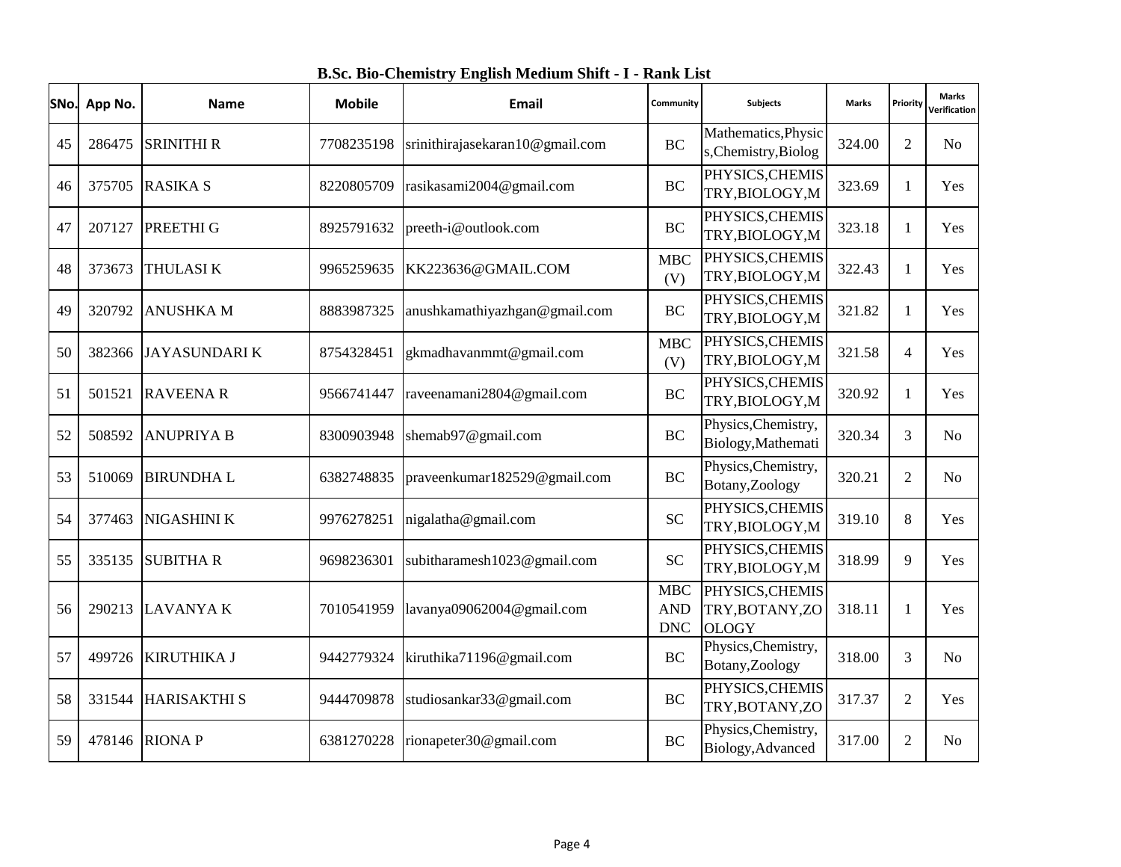|  |  | B.Sc. Bio-Chemistry English Medium Shift - I - Rank List |  |  |  |  |  |  |  |
|--|--|----------------------------------------------------------|--|--|--|--|--|--|--|
|--|--|----------------------------------------------------------|--|--|--|--|--|--|--|

| SNo. | App No. | <b>Name</b>         | <b>Mobile</b> | Email                           | <b>Subjects</b><br>Community           |                                                    | <b>Marks</b> | Priority       | <b>Marks</b><br>Verification |
|------|---------|---------------------|---------------|---------------------------------|----------------------------------------|----------------------------------------------------|--------------|----------------|------------------------------|
| 45   | 286475  | <b>SRINITHI R</b>   | 7708235198    | srinithirajasekaran10@gmail.com | <b>BC</b>                              | Mathematics, Physic<br>s, Chemistry, Biolog        | 324.00       | 2              | No                           |
| 46   | 375705  | <b>RASIKA S</b>     | 8220805709    | rasikasami2004@gmail.com        | <b>BC</b>                              | PHYSICS, CHEMIS<br>TRY, BIOLOGY, M                 | 323.69       | 1              | Yes                          |
| 47   | 207127  | <b>PREETHIG</b>     | 8925791632    | preeth-i@outlook.com            | <b>BC</b>                              | PHYSICS, CHEMIS<br>TRY, BIOLOGY, M                 | 323.18       | 1              | Yes                          |
| 48   | 373673  | <b>THULASIK</b>     | 9965259635    | KK223636@GMAIL.COM              | <b>MBC</b><br>(V)                      | PHYSICS, CHEMIS<br>TRY, BIOLOGY, M                 | 322.43       | 1              | Yes                          |
| 49   | 320792  | <b>ANUSHKA M</b>    | 8883987325    | anushkamathiyazhgan@gmail.com   | BC                                     | PHYSICS, CHEMIS<br>TRY, BIOLOGY, M                 | 321.82       | 1              | Yes                          |
| 50   | 382366  | JAYASUNDARI K       | 8754328451    | gkmadhavanmmt@gmail.com         | <b>MBC</b><br>(V)                      | PHYSICS, CHEMIS<br>TRY, BIOLOGY, M                 | 321.58       | $\overline{4}$ | Yes                          |
| 51   | 501521  | <b>RAVEENA R</b>    | 9566741447    | raveenamani2804@gmail.com       | <b>BC</b>                              | PHYSICS, CHEMIS<br>TRY, BIOLOGY, M                 | 320.92       | 1              | Yes                          |
| 52   | 508592  | <b>ANUPRIYA B</b>   | 8300903948    | shemab97@gmail.com              | <b>BC</b>                              | Physics, Chemistry,<br>Biology, Mathemati          | 320.34       | 3              | N <sub>o</sub>               |
| 53   | 510069  | <b>BIRUNDHAL</b>    | 6382748835    | praveenkumar182529@gmail.com    | <b>BC</b>                              | Physics, Chemistry,<br>Botany, Zoology             | 320.21       | $\overline{2}$ | N <sub>0</sub>               |
| 54   | 377463  | <b>NIGASHINI K</b>  | 9976278251    | nigalatha@gmail.com             | <b>SC</b>                              | PHYSICS, CHEMIS<br>TRY, BIOLOGY, M                 | 319.10       | 8              | Yes                          |
| 55   | 335135  | <b>SUBITHAR</b>     | 9698236301    | subitharamesh1023@gmail.com     | <b>SC</b>                              | PHYSICS, CHEMIS<br>TRY, BIOLOGY, M                 | 318.99       | 9              | Yes                          |
| 56   | 290213  | <b>LAVANYAK</b>     | 7010541959    | lavanya09062004@gmail.com       | <b>MBC</b><br><b>AND</b><br><b>DNC</b> | PHYSICS, CHEMIS<br>TRY, BOTANY, ZO<br><b>OLOGY</b> | 318.11       | 1              | Yes                          |
| 57   | 499726  | <b>KIRUTHIKA J</b>  | 9442779324    | kiruthika71196@gmail.com        | <b>BC</b>                              | Physics, Chemistry,<br>Botany, Zoology             | 318.00       | 3              | N <sub>o</sub>               |
| 58   | 331544  | <b>HARISAKTHI S</b> | 9444709878    | studiosankar33@gmail.com        | <b>BC</b>                              | PHYSICS, CHEMIS<br>TRY, BOTANY, ZO                 | 317.37       | 2              | Yes                          |
| 59   | 478146  | <b>RIONAP</b>       | 6381270228    | rionapeter30@gmail.com          | <b>BC</b>                              | Physics, Chemistry,<br>Biology, Advanced           | 317.00       | 2              | N <sub>o</sub>               |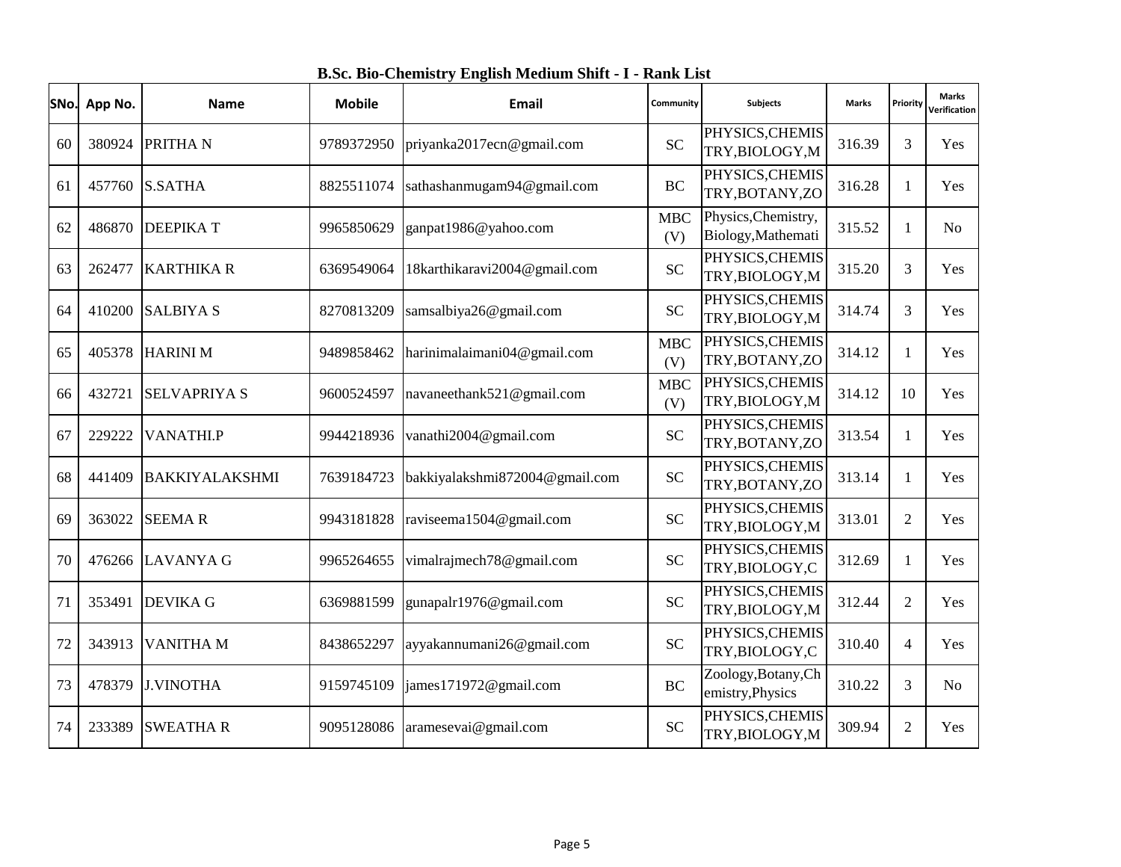| SNo. | App No. | <b>Name</b>           | <b>Mobile</b> | <b>Email</b>                   | <b>Subjects</b><br>Community |                                           | <b>Marks</b> | Priority       | <b>Marks</b><br>Verification |
|------|---------|-----------------------|---------------|--------------------------------|------------------------------|-------------------------------------------|--------------|----------------|------------------------------|
| 60   | 380924  | <b>PRITHAN</b>        | 9789372950    | priyanka2017ecn@gmail.com      | <b>SC</b>                    | PHYSICS, CHEMIS<br>TRY, BIOLOGY, M        | 316.39       | 3              | Yes                          |
| 61   | 457760  | <b>S.SATHA</b>        | 8825511074    | sathashanmugam94@gmail.com     | <b>BC</b>                    | PHYSICS, CHEMIS<br>TRY, BOTANY, ZO        | 316.28       | 1              | Yes                          |
| 62   | 486870  | <b>DEEPIKAT</b>       | 9965850629    | ganpat1986@yahoo.com           | <b>MBC</b><br>(V)            | Physics, Chemistry,<br>Biology, Mathemati | 315.52       | 1              | No                           |
| 63   | 262477  | <b>KARTHIKA R</b>     | 6369549064    | 18karthikaravi2004@gmail.com   | <b>SC</b>                    | PHYSICS, CHEMIS<br>TRY, BIOLOGY, M        | 315.20       | 3              | Yes                          |
| 64   | 410200  | <b>SALBIYA S</b>      | 8270813209    | samsalbiya26@gmail.com         | <b>SC</b>                    | PHYSICS, CHEMIS<br>TRY, BIOLOGY, M        | 314.74       | 3              | Yes                          |
| 65   | 405378  | <b>HARINIM</b>        | 9489858462    | harinimalaimani04@gmail.com    | <b>MBC</b><br>(V)            | PHYSICS, CHEMIS<br>TRY, BOTANY, ZO        | 314.12       | 1              | Yes                          |
| 66   | 432721  | <b>SELVAPRIYA S</b>   | 9600524597    | navaneethank521@gmail.com      | <b>MBC</b><br>(V)            | PHYSICS, CHEMIS<br>TRY, BIOLOGY, M        | 314.12       | 10             | Yes                          |
| 67   | 229222  | <b>VANATHI.P</b>      | 9944218936    | vanathi2004@gmail.com          | <b>SC</b>                    | PHYSICS, CHEMIS<br>TRY, BOTANY, ZO        | 313.54       | 1              | Yes                          |
| 68   | 441409  | <b>BAKKIYALAKSHMI</b> | 7639184723    | bakkiyalakshmi872004@gmail.com | <b>SC</b>                    | PHYSICS, CHEMIS<br>TRY, BOTANY, ZO        | 313.14       | 1              | Yes                          |
| 69   | 363022  | <b>SEEMAR</b>         | 9943181828    | raviseema1504@gmail.com        | <b>SC</b>                    | PHYSICS, CHEMIS<br>TRY, BIOLOGY, M        | 313.01       | 2              | Yes                          |
| 70   |         | 476266 LAVANYA G      | 9965264655    | vimalrajmech78@gmail.com       | <b>SC</b>                    | PHYSICS, CHEMIS<br>TRY, BIOLOGY, C        | 312.69       | 1              | Yes                          |
| 71   | 353491  | <b>DEVIKA G</b>       | 6369881599    | gunapalr1976@gmail.com         | <b>SC</b>                    | PHYSICS, CHEMIS<br>TRY, BIOLOGY, M        | 312.44       | 2              | Yes                          |
| 72   | 343913  | <b>VANITHAM</b>       | 8438652297    | ayyakannumani26@gmail.com      | <b>SC</b>                    | PHYSICS, CHEMIS<br>TRY, BIOLOGY, C        | 310.40       | $\overline{4}$ | Yes                          |
| 73   | 478379  | <b>J.VINOTHA</b>      | 9159745109    | james171972@gmail.com          | <b>BC</b>                    | Zoology, Botany, Ch<br>emistry, Physics   | 310.22       | 3              | No                           |
| 74   | 233389  | <b>SWEATHAR</b>       | 9095128086    | aramesevai@gmail.com           | <b>SC</b>                    | PHYSICS, CHEMIS<br>TRY, BIOLOGY, M        | 309.94       | $\overline{2}$ | Yes                          |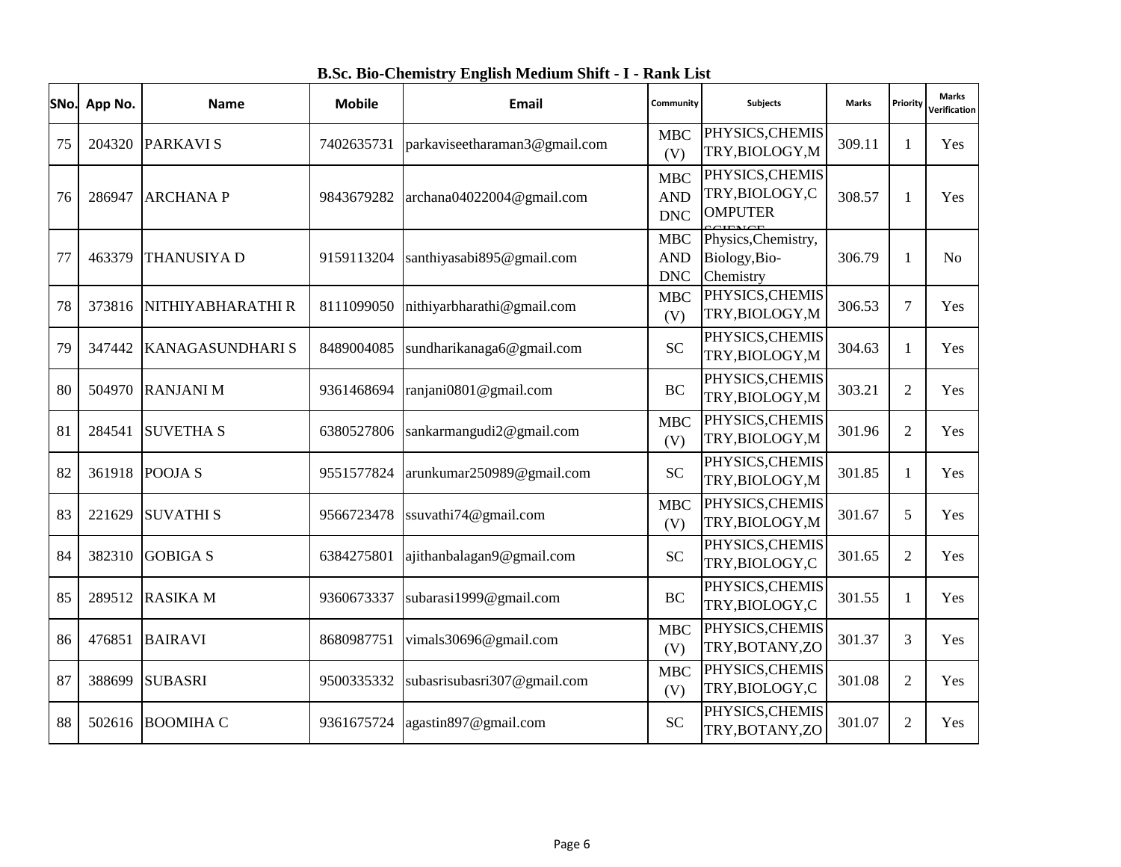|  |  |  |  |  |  |  | B.Sc. Bio-Chemistry English Medium Shift - I - Rank List |
|--|--|--|--|--|--|--|----------------------------------------------------------|
|--|--|--|--|--|--|--|----------------------------------------------------------|

|    | SNo. App No. | <b>Name</b>        | <b>Mobile</b> | Email                         | Community<br><b>Subjects</b>           |                                                      | <b>Marks</b> | Priority       | <b>Marks</b><br>Verification |
|----|--------------|--------------------|---------------|-------------------------------|----------------------------------------|------------------------------------------------------|--------------|----------------|------------------------------|
| 75 | 204320       | <b>PARKAVIS</b>    | 7402635731    | parkaviseetharaman3@gmail.com | <b>MBC</b><br>(V)                      | PHYSICS, CHEMIS<br>TRY, BIOLOGY, M                   | 309.11       | 1              | Yes                          |
| 76 | 286947       | <b>ARCHANAP</b>    | 9843679282    | archana04022004@gmail.com     | MBC<br><b>AND</b><br><b>DNC</b>        | PHYSICS, CHEMIS<br>TRY, BIOLOGY, C<br><b>OMPUTER</b> | 308.57       |                | Yes                          |
| 77 | 463379       | <b>THANUSIYA D</b> | 9159113204    | santhiyasabi895@gmail.com     | <b>MBC</b><br><b>AND</b><br><b>DNC</b> | Physics, Chemistry,<br>Biology, Bio-<br>Chemistry    | 306.79       | 1              | N <sub>o</sub>               |
| 78 | 373816       | NITHIYABHARATHI R  | 8111099050    | nithiyarbharathi@gmail.com    | <b>MBC</b><br>(V)                      | PHYSICS, CHEMIS<br>TRY, BIOLOGY, M                   | 306.53       | $\tau$         | Yes                          |
| 79 | 347442       | KANAGASUNDHARI S   | 8489004085    | sundharikanaga6@gmail.com     | <b>SC</b>                              | PHYSICS, CHEMIS<br>TRY, BIOLOGY, M                   | 304.63       | 1              | Yes                          |
| 80 | 504970       | <b>RANJANI M</b>   | 9361468694    | ranjani0801@gmail.com         | <b>BC</b>                              | PHYSICS, CHEMIS<br>TRY, BIOLOGY, M                   | 303.21       | 2              | Yes                          |
| 81 | 284541       | <b>SUVETHA S</b>   | 6380527806    | sankarmangudi2@gmail.com      | <b>MBC</b><br>(V)                      | PHYSICS, CHEMIS<br>TRY, BIOLOGY, M                   | 301.96       | 2              | Yes                          |
| 82 | 361918       | POOJA <sub>S</sub> | 9551577824    | arunkumar250989@gmail.com     | <b>SC</b>                              | PHYSICS, CHEMIS<br>TRY, BIOLOGY, M                   | 301.85       | 1              | Yes                          |
| 83 | 221629       | <b>SUVATHI S</b>   | 9566723478    | ssuvathi74@gmail.com          | <b>MBC</b><br>(V)                      | PHYSICS, CHEMIS<br>TRY, BIOLOGY, M                   | 301.67       | 5              | Yes                          |
| 84 | 382310       | <b>GOBIGA S</b>    | 6384275801    | ajithanbalagan9@gmail.com     | <b>SC</b>                              | PHYSICS, CHEMIS<br>TRY, BIOLOGY, C                   | 301.65       | 2              | Yes                          |
| 85 | 289512       | <b>RASIKA M</b>    | 9360673337    | subarasi1999@gmail.com        | <b>BC</b>                              | PHYSICS, CHEMIS<br>TRY, BIOLOGY, C                   | 301.55       | 1              | Yes                          |
| 86 | 476851       | <b>BAIRAVI</b>     | 8680987751    | vimals30696@gmail.com         | <b>MBC</b><br>(V)                      | PHYSICS, CHEMIS<br>TRY, BOTANY, ZO                   | 301.37       | 3              | Yes                          |
| 87 | 388699       | <b>SUBASRI</b>     | 9500335332    | subasrisubasri307@gmail.com   | <b>MBC</b><br>(V)                      | PHYSICS, CHEMIS<br>TRY, BIOLOGY, C                   | 301.08       | $\overline{2}$ | Yes                          |
| 88 | 502616       | <b>BOOMIHA C</b>   | 9361675724    | agastin897@gmail.com          | <b>SC</b>                              | PHYSICS, CHEMIS<br>TRY, BOTANY, ZO                   | 301.07       | 2              | Yes                          |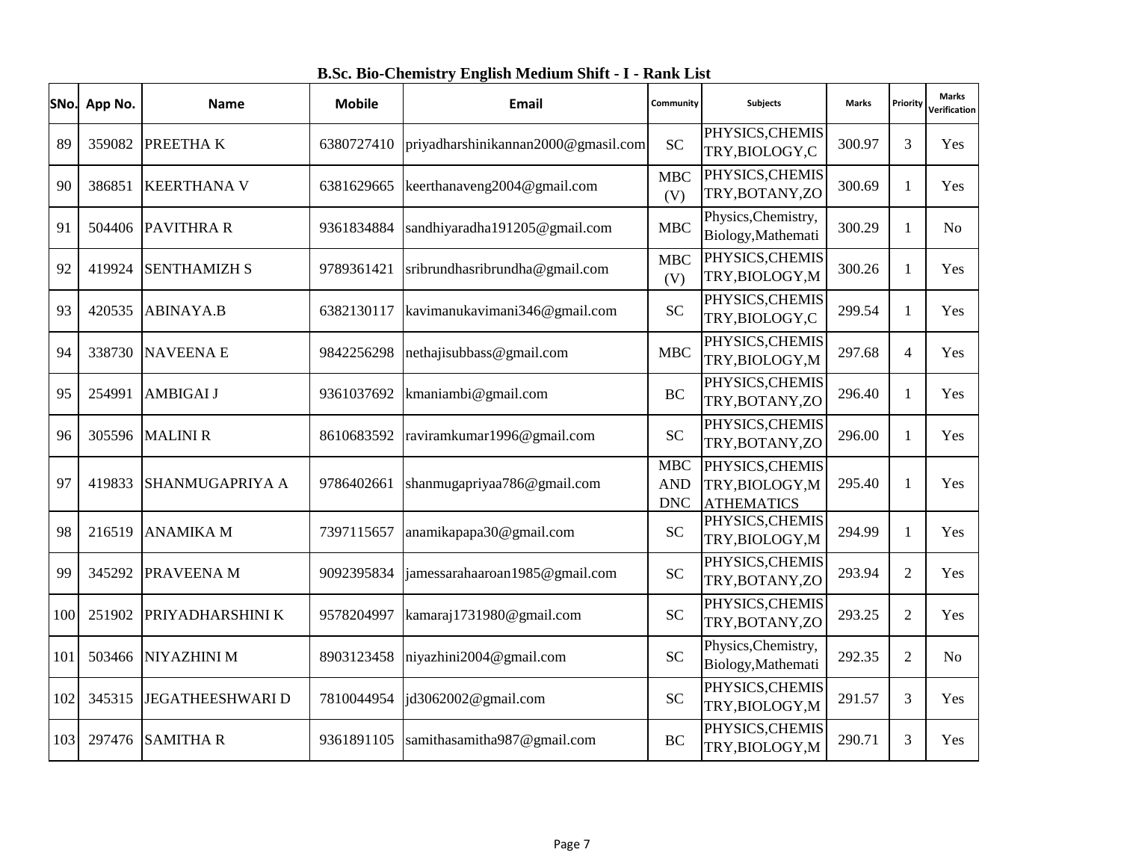|  |  |  |  |  |  |  | B.Sc. Bio-Chemistry English Medium Shift - I - Rank List |
|--|--|--|--|--|--|--|----------------------------------------------------------|
|--|--|--|--|--|--|--|----------------------------------------------------------|

|     | SNo. App No. | <b>Name</b>             | <b>Mobile</b> | Email                               | Community<br><b>Subjects</b>                          |                                                         | <b>Marks</b> | Priority       | <b>Marks</b><br>Verification |
|-----|--------------|-------------------------|---------------|-------------------------------------|-------------------------------------------------------|---------------------------------------------------------|--------------|----------------|------------------------------|
| 89  | 359082       | <b>PREETHAK</b>         | 6380727410    | priyadharshinikannan2000@gmasil.com | <b>SC</b>                                             | PHYSICS, CHEMIS<br>TRY, BIOLOGY, C                      | 300.97       | 3              | Yes                          |
| 90  | 386851       | <b>KEERTHANA V</b>      | 6381629665    | keerthanaveng2004@gmail.com         | <b>MBC</b><br>(V)                                     | PHYSICS, CHEMIS<br>TRY, BOTANY, ZO                      | 300.69       | 1              | <b>Yes</b>                   |
| 91  |              | 504406 PAVITHRA R       | 9361834884    | sandhiyaradha191205@gmail.com       | <b>MBC</b>                                            | Physics, Chemistry,<br>Biology, Mathemati               | 300.29       | 1              | N <sub>o</sub>               |
| 92  | 419924       | <b>SENTHAMIZH S</b>     | 9789361421    | sribrundhasribrundha@gmail.com      | <b>MBC</b><br>(V)                                     | PHYSICS, CHEMIS<br>TRY, BIOLOGY, M                      | 300.26       | 1              | <b>Yes</b>                   |
| 93  | 420535       | <b>ABINAYA.B</b>        | 6382130117    | kavimanukavimani346@gmail.com       | <b>SC</b>                                             | PHYSICS, CHEMIS<br>TRY, BIOLOGY, C                      | 299.54       | 1              | <b>Yes</b>                   |
| 94  | 338730       | <b>NAVEENAE</b>         | 9842256298    | nethajisubbass@gmail.com            | <b>MBC</b>                                            | PHYSICS, CHEMIS<br>TRY, BIOLOGY, M                      | 297.68       | $\overline{4}$ | Yes                          |
| 95  | 254991       | <b>AMBIGAI J</b>        | 9361037692    | kmaniambi@gmail.com                 | <b>BC</b>                                             | PHYSICS, CHEMIS<br>TRY, BOTANY, ZO                      | 296.40       | 1              | Yes                          |
| 96  | 305596       | <b>MALINI R</b>         | 8610683592    | raviramkumar1996@gmail.com          | <b>SC</b>                                             | PHYSICS, CHEMIS<br>TRY, BOTANY, ZO                      | 296.00       | 1              | Yes                          |
| 97  | 419833       | <b>SHANMUGAPRIYA A</b>  | 9786402661    | shanmugapriyaa786@gmail.com         | <b>MBC</b><br><b>AND</b><br>$\ensuremath{\text{DNC}}$ | PHYSICS, CHEMIS<br>TRY, BIOLOGY, M<br><b>ATHEMATICS</b> | 295.40       | 1              | <b>Yes</b>                   |
| 98  | 216519       | <b>ANAMIKA M</b>        | 7397115657    | anamikapapa30@gmail.com             | <b>SC</b>                                             | PHYSICS, CHEMIS<br>TRY, BIOLOGY, M                      | 294.99       | 1              | <b>Yes</b>                   |
| 99  | 345292       | PRAVEENA M              | 9092395834    | jamessarahaaroan1985@gmail.com      | <b>SC</b>                                             | PHYSICS, CHEMIS<br>TRY, BOTANY, ZO                      | 293.94       | 2              | Yes                          |
| 100 | 251902       | PRIYADHARSHINI K        | 9578204997    | kamaraj1731980@gmail.com            | <b>SC</b>                                             | PHYSICS, CHEMIS<br>TRY, BOTANY, ZO                      | 293.25       | 2              | Yes                          |
| 101 | 503466       | <b>NIYAZHINI M</b>      | 8903123458    | niyazhini2004@gmail.com             | <b>SC</b>                                             | Physics, Chemistry,<br>Biology, Mathemati               | 292.35       | $\overline{2}$ | N <sub>o</sub>               |
| 102 | 345315       | <b>JEGATHEESHWARI D</b> | 7810044954    | jd3062002@gmail.com                 | <b>SC</b>                                             | PHYSICS, CHEMIS<br>TRY, BIOLOGY, M                      | 291.57       | 3              | <b>Yes</b>                   |
| 103 | 297476       | <b>SAMITHAR</b>         | 9361891105    | samithasamitha987@gmail.com         | <b>BC</b>                                             | PHYSICS, CHEMIS<br>TRY, BIOLOGY, M                      | 290.71       | 3              | Yes                          |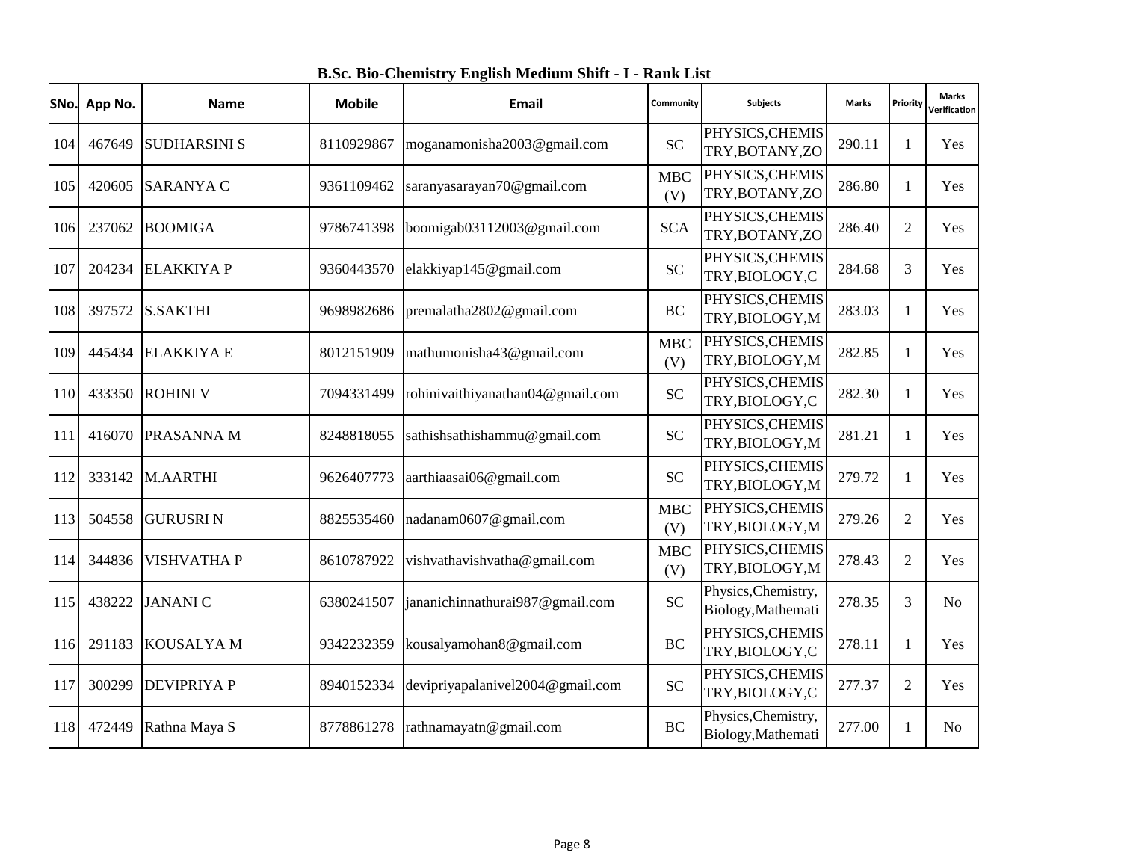|  |  |  |  |  |  |  | B.Sc. Bio-Chemistry English Medium Shift - I - Rank List |
|--|--|--|--|--|--|--|----------------------------------------------------------|
|--|--|--|--|--|--|--|----------------------------------------------------------|

| SNo. | App No. | <b>Name</b>         | <b>Mobile</b> | <b>Email</b>                     | Community         | <b>Subjects</b>                           | <b>Marks</b> | Priority       | <b>Marks</b><br>Verification |
|------|---------|---------------------|---------------|----------------------------------|-------------------|-------------------------------------------|--------------|----------------|------------------------------|
| 104  | 467649  | <b>SUDHARSINI S</b> | 8110929867    | moganamonisha2003@gmail.com      | <b>SC</b>         | PHYSICS, CHEMIS<br>TRY, BOTANY, ZO        | 290.11       | 1              | Yes                          |
| 105  | 420605  | <b>SARANYA C</b>    | 9361109462    | saranyasarayan70@gmail.com       | <b>MBC</b><br>(V) | PHYSICS, CHEMIS<br>TRY, BOTANY, ZO        | 286.80       | 1              | Yes                          |
| 106  | 237062  | <b>BOOMIGA</b>      | 9786741398    | boomigab03112003@gmail.com       | <b>SCA</b>        | PHYSICS, CHEMIS<br>TRY, BOTANY, ZO        | 286.40       | $\overline{2}$ | Yes                          |
| 107  | 204234  | <b>ELAKKIYA P</b>   | 9360443570    | elakkiyap145@gmail.com           | <b>SC</b>         | PHYSICS, CHEMIS<br>TRY, BIOLOGY, C        | 284.68       | 3              | Yes                          |
| 108  | 397572  | <b>S.SAKTHI</b>     | 9698982686    | premalatha2802@gmail.com         | <b>BC</b>         | PHYSICS, CHEMIS<br>TRY, BIOLOGY, M        | 283.03       | 1              | <b>Yes</b>                   |
| 109  |         | 445434 ELAKKIYA E   | 8012151909    | mathumonisha43@gmail.com         | <b>MBC</b><br>(V) | PHYSICS, CHEMIS<br>TRY, BIOLOGY, M        | 282.85       | 1              | Yes                          |
| 110  | 433350  | <b>ROHINI V</b>     | 7094331499    | rohinivaithiyanathan04@gmail.com | <b>SC</b>         | PHYSICS, CHEMIS<br>TRY, BIOLOGY, C        | 282.30       |                | Yes                          |
| 111  |         | 416070 PRASANNA M   | 8248818055    | sathishsathishammu@gmail.com     | <b>SC</b>         | PHYSICS, CHEMIS<br>TRY, BIOLOGY, M        | 281.21       | 1              | Yes                          |
| 112  |         | 333142 M.AARTHI     | 9626407773    | aarthiaasai06@gmail.com          | <b>SC</b>         | PHYSICS, CHEMIS<br>TRY, BIOLOGY, M        | 279.72       | 1              | Yes                          |
| 113  | 504558  | <b>GURUSRIN</b>     | 8825535460    | nadanam0607@gmail.com            | <b>MBC</b><br>(V) | PHYSICS, CHEMIS<br>TRY, BIOLOGY, M        | 279.26       | $\overline{2}$ | Yes                          |
| 114  | 344836  | <b>VISHVATHA P</b>  | 8610787922    | vishvathavishvatha@gmail.com     | <b>MBC</b><br>(V) | PHYSICS, CHEMIS<br>TRY, BIOLOGY, M        | 278.43       | 2              | Yes                          |
| 115  | 438222  | <b>JANANIC</b>      | 6380241507    | jananichinnathurai987@gmail.com  | <b>SC</b>         | Physics, Chemistry,<br>Biology, Mathemati | 278.35       | 3              | N <sub>o</sub>               |
| 116  | 291183  | <b>KOUSALYAM</b>    | 9342232359    | kousalyamohan8@gmail.com         | <b>BC</b>         | PHYSICS, CHEMIS<br>TRY, BIOLOGY, C        | 278.11       | 1              | Yes                          |
| 117  | 300299  | <b>DEVIPRIYA P</b>  | 8940152334    | devipriyapalanivel2004@gmail.com | <b>SC</b>         | PHYSICS, CHEMIS<br>TRY, BIOLOGY, C        | 277.37       | 2              | Yes                          |
| 118  | 472449  | Rathna Maya S       | 8778861278    | rathnamayatn@gmail.com           | <b>BC</b>         | Physics, Chemistry,<br>Biology, Mathemati | 277.00       |                | N <sub>o</sub>               |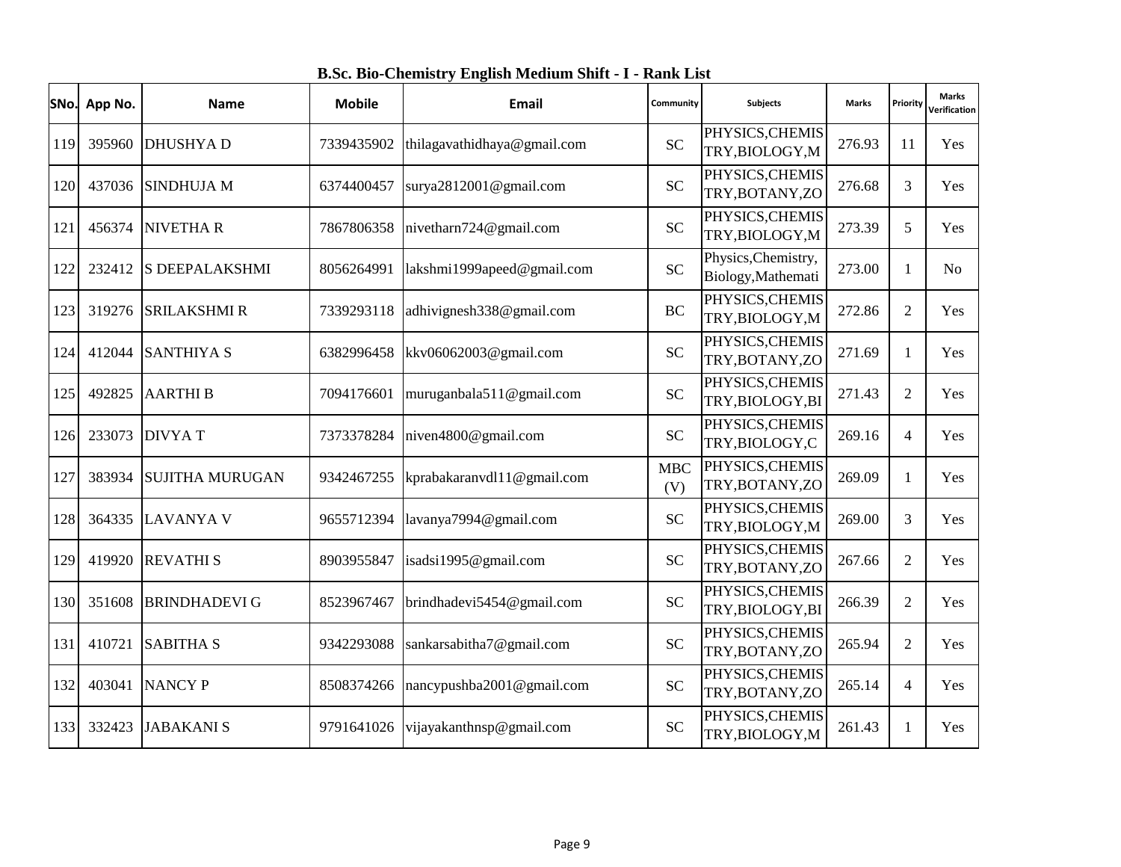|  |  |  |  |  |  |  |  | B.Sc. Bio-Chemistry English Medium Shift - I - Rank List |
|--|--|--|--|--|--|--|--|----------------------------------------------------------|
|--|--|--|--|--|--|--|--|----------------------------------------------------------|

|     | SNo. App No. | <b>Name</b>            | <b>Mobile</b> | <b>Email</b>                | Community         | <b>Subjects</b>                           | <b>Marks</b> | Priority       | <b>Marks</b><br><b>Verification</b> |
|-----|--------------|------------------------|---------------|-----------------------------|-------------------|-------------------------------------------|--------------|----------------|-------------------------------------|
| 119 | 395960       | <b>DHUSHYAD</b>        | 7339435902    | thilagavathidhaya@gmail.com | <b>SC</b>         | PHYSICS, CHEMIS<br>TRY, BIOLOGY, M        | 276.93       | 11             | Yes                                 |
| 120 | 437036       | <b>SINDHUJA M</b>      | 6374400457    | surya $2812001@$ gmail.com  | <b>SC</b>         | PHYSICS, CHEMIS<br>TRY, BOTANY, ZO        | 276.68       | $\overline{3}$ | Yes                                 |
| 121 | 456374       | <b>NIVETHAR</b>        | 7867806358    | nivetharn724@gmail.com      | <b>SC</b>         | PHYSICS, CHEMIS<br>TRY, BIOLOGY, M        | 273.39       | 5              | <b>Yes</b>                          |
| 122 | 232412       | <b>S DEEPALAKSHMI</b>  | 8056264991    | lakshmi1999apeed@gmail.com  | <b>SC</b>         | Physics, Chemistry,<br>Biology, Mathemati | 273.00       | 1              | No                                  |
| 123 | 319276       | <b>SRILAKSHMI R</b>    | 7339293118    | adhivignesh338@gmail.com    | <b>BC</b>         | PHYSICS, CHEMIS<br>TRY, BIOLOGY, M        | 272.86       | 2              | Yes                                 |
| 124 | 412044       | <b>SANTHIYA S</b>      | 6382996458    | kkv06062003@gmail.com       | <b>SC</b>         | PHYSICS, CHEMIS<br>TRY, BOTANY, ZO        | 271.69       | $\mathbf{1}$   | Yes                                 |
| 125 | 492825       | <b>AARTHIB</b>         | 7094176601    | muruganbala511@gmail.com    | <b>SC</b>         | PHYSICS, CHEMIS<br>TRY, BIOLOGY, BI       | 271.43       | $\overline{2}$ | Yes                                 |
| 126 | 233073       | <b>DIVYAT</b>          | 7373378284    | niven4800@gmail.com         | <b>SC</b>         | PHYSICS, CHEMIS<br>TRY, BIOLOGY, C        | 269.16       | $\overline{4}$ | <b>Yes</b>                          |
| 127 | 383934       | <b>SUJITHA MURUGAN</b> | 9342467255    | kprabakaranvdl11@gmail.com  | <b>MBC</b><br>(V) | PHYSICS, CHEMIS<br>TRY, BOTANY, ZO        | 269.09       | $\mathbf{1}$   | Yes                                 |
| 128 | 364335       | <b>LAVANYA V</b>       | 9655712394    | lavanya7994@gmail.com       | <b>SC</b>         | PHYSICS, CHEMIS<br>TRY, BIOLOGY, M        | 269.00       | 3              | <b>Yes</b>                          |
| 129 | 419920       | <b>REVATHIS</b>        | 8903955847    | isadsi1995@gmail.com        | <b>SC</b>         | PHYSICS, CHEMIS<br>TRY, BOTANY, ZO        | 267.66       | $\overline{2}$ | Yes                                 |
| 130 | 351608       | <b>BRINDHADEVI G</b>   | 8523967467    | brindhadevi5454@gmail.com   | <b>SC</b>         | PHYSICS, CHEMIS<br>TRY, BIOLOGY, BI       | 266.39       | 2              | Yes                                 |
| 131 | 410721       | <b>SABITHA S</b>       | 9342293088    | sankarsabitha7@gmail.com    | <b>SC</b>         | PHYSICS, CHEMIS<br>TRY, BOTANY, ZO        | 265.94       | $\overline{2}$ | Yes                                 |
| 132 | 403041       | <b>NANCY P</b>         | 8508374266    | nancypushba2001@gmail.com   | <b>SC</b>         | PHYSICS, CHEMIS<br>TRY, BOTANY, ZO        | 265.14       | $\overline{4}$ | Yes                                 |
| 133 | 332423       | <b>JABAKANI S</b>      | 9791641026    | vijayakanthnsp@gmail.com    | <b>SC</b>         | PHYSICS, CHEMIS<br>TRY, BIOLOGY, M        | 261.43       | 1              | Yes                                 |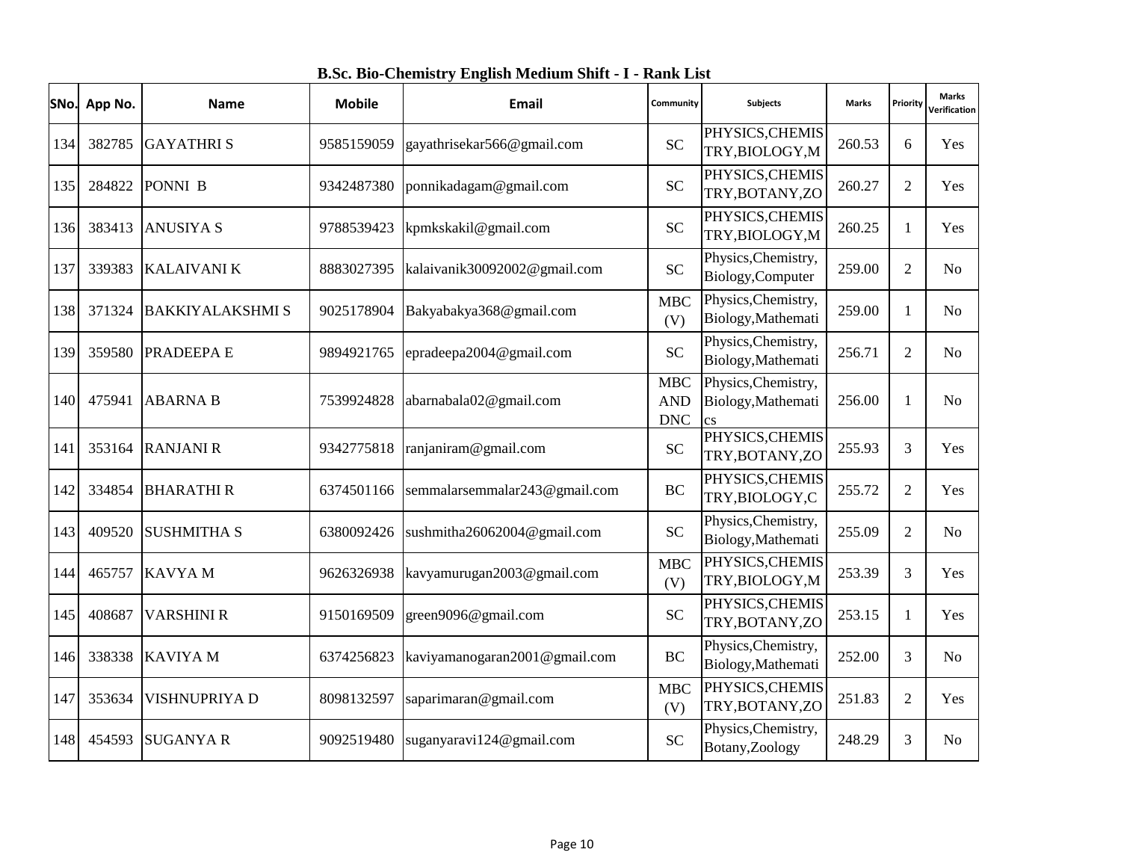| SNo. | App No. | <b>Name</b>             | <b>Mobile</b> | Email                         | Community                                        | <b>Subjects</b>                                                     | <b>Marks</b> | Priority       | Marks<br>Verification |
|------|---------|-------------------------|---------------|-------------------------------|--------------------------------------------------|---------------------------------------------------------------------|--------------|----------------|-----------------------|
| 134  | 382785  | <b>GAYATHRIS</b>        | 9585159059    | gayathrisekar566@gmail.com    | <b>SC</b>                                        | PHYSICS, CHEMIS<br>TRY, BIOLOGY, M                                  | 260.53       | 6              | Yes                   |
| 135  | 284822  | PONNI B                 | 9342487380    | ponnikadagam@gmail.com        | <b>SC</b>                                        | PHYSICS, CHEMIS<br>TRY, BOTANY, ZO                                  | 260.27       | 2              | Yes                   |
| 136  | 383413  | <b>ANUSIYA S</b>        | 9788539423    | kpmkskakil@gmail.com          | <b>SC</b>                                        | PHYSICS, CHEMIS<br>TRY, BIOLOGY, M                                  | 260.25       | 1              | Yes                   |
| 137  | 339383  | <b>KALAIVANI K</b>      | 8883027395    | kalaivanik30092002@gmail.com  | <b>SC</b>                                        | Physics, Chemistry,<br>Biology, Computer                            | 259.00       | $\overline{2}$ | No                    |
| 138  | 371324  | <b>BAKKIYALAKSHMI S</b> | 9025178904    | Bakyabakya368@gmail.com       | <b>MBC</b><br>(V)                                | Physics, Chemistry,<br>Biology, Mathemati                           | 259.00       | 1              | No                    |
| 139  | 359580  | PRADEEPA E              | 9894921765    | epradeepa2004@gmail.com       | <b>SC</b>                                        | Physics, Chemistry,<br>Biology, Mathemati                           | 256.71       | $\overline{2}$ | No                    |
| 140  | 475941  | <b>ABARNA B</b>         | 7539924828    | abarnabala02@gmail.com        | <b>MBC</b><br><b>AND</b><br>$\operatorname{DNC}$ | Physics, Chemistry,<br>Biology, Mathemati<br>$\overline{\text{cs}}$ | 256.00       |                | No                    |
| 141  | 353164  | <b>RANJANI R</b>        | 9342775818    | ranjaniram@gmail.com          | <b>SC</b>                                        | PHYSICS, CHEMIS<br>TRY, BOTANY, ZO                                  | 255.93       | 3              | Yes                   |
| 142  | 334854  | <b>BHARATHIR</b>        | 6374501166    | semmalarsemmalar243@gmail.com | <b>BC</b>                                        | PHYSICS, CHEMIS<br>TRY, BIOLOGY, C                                  | 255.72       | $\overline{2}$ | Yes                   |
| 143  | 409520  | <b>SUSHMITHA S</b>      | 6380092426    | sushmitha26062004@gmail.com   | <b>SC</b>                                        | Physics, Chemistry,<br>Biology, Mathemati                           | 255.09       | 2              | No                    |
| 144  | 465757  | <b>KAVYAM</b>           | 9626326938    | kavyamurugan2003@gmail.com    | <b>MBC</b><br>(V)                                | PHYSICS, CHEMIS<br>TRY, BIOLOGY, M                                  | 253.39       | 3              | Yes                   |
| 145  | 408687  | <b>VARSHINI R</b>       | 9150169509    | green9096@gmail.com           | <b>SC</b>                                        | PHYSICS, CHEMIS<br>TRY, BOTANY, ZO                                  | 253.15       | 1              | Yes                   |
| 146  | 338338  | <b>KAVIYAM</b>          | 6374256823    | kaviyamanogaran2001@gmail.com | <b>BC</b>                                        | Physics, Chemistry,<br>Biology, Mathemati                           | 252.00       | 3              | No                    |
| 147  | 353634  | VISHNUPRIYA D           | 8098132597    | saparimaran@gmail.com         | <b>MBC</b><br>(V)                                | PHYSICS, CHEMIS<br>TRY, BOTANY, ZO                                  | 251.83       | $\overline{2}$ | Yes                   |
| 148  | 454593  | <b>SUGANYA R</b>        | 9092519480    | suganyaravi124@gmail.com      | <b>SC</b>                                        | Physics, Chemistry,<br>Botany, Zoology                              | 248.29       | 3              | No                    |

**B.Sc. Bio-Chemistry English Medium Shift - I - Rank List**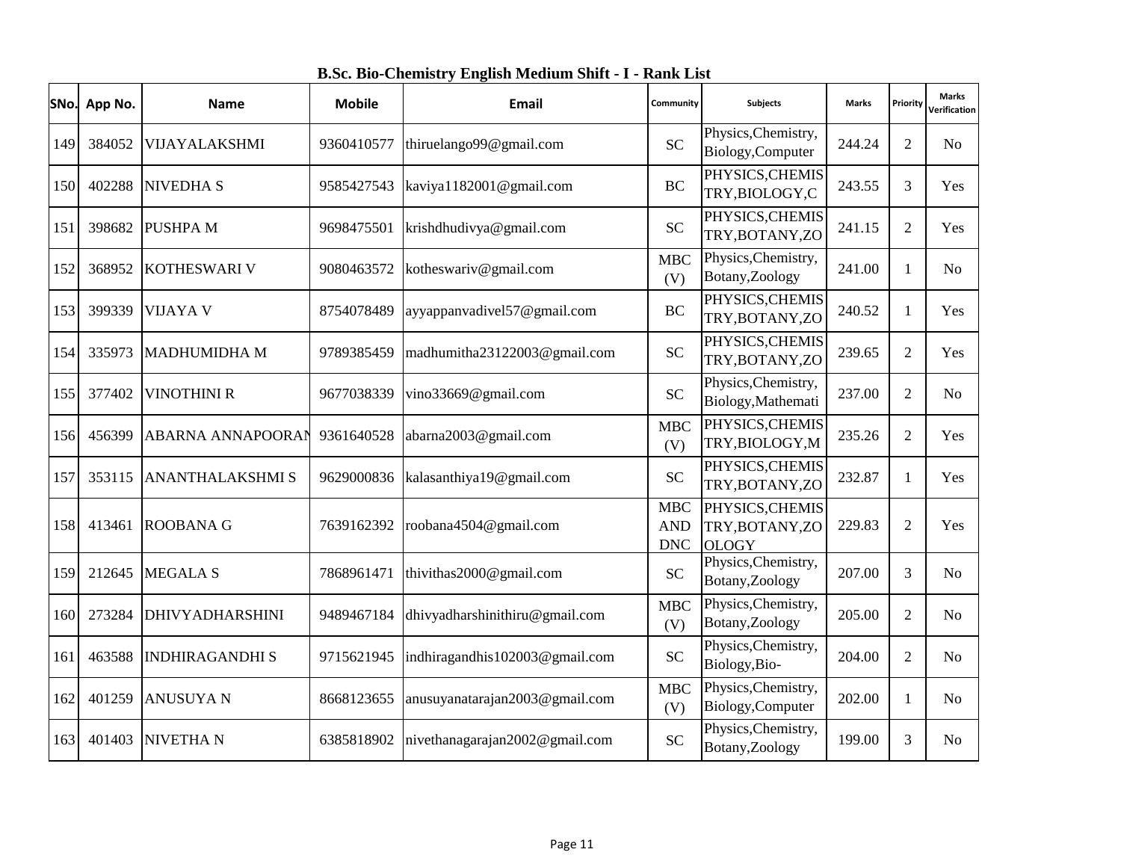| B.Sc. Bio-Chemistry English Medium Shift - I - Rank List |  |
|----------------------------------------------------------|--|
|                                                          |  |

|     | SNo. App No. | <b>Name</b>              | <b>Mobile</b> | <b>Email</b>                   | Community                              | <b>Subjects</b>                                    | <b>Marks</b> | Priority       | <b>Marks</b><br>Verification |
|-----|--------------|--------------------------|---------------|--------------------------------|----------------------------------------|----------------------------------------------------|--------------|----------------|------------------------------|
| 149 | 384052       | VIJAYALAKSHMI            | 9360410577    | thiruelango99@gmail.com        | <b>SC</b>                              | Physics, Chemistry,<br>Biology, Computer           | 244.24       | $\overline{2}$ | N <sub>o</sub>               |
| 150 | 402288       | <b>NIVEDHA S</b>         | 9585427543    | kaviya1182001@gmail.com        | <b>BC</b>                              | PHYSICS, CHEMIS<br>TRY, BIOLOGY, C                 | 243.55       | 3              | Yes                          |
| 151 | 398682       | <b>PUSHPA M</b>          | 9698475501    | krishdhudivya@gmail.com        | <b>SC</b>                              | PHYSICS, CHEMIS<br>TRY, BOTANY, ZO                 | 241.15       | 2              | Yes                          |
| 152 | 368952       | <b>KOTHESWARI V</b>      | 9080463572    | kotheswariv@gmail.com          | <b>MBC</b><br>(V)                      | Physics, Chemistry,<br>Botany, Zoology             | 241.00       | 1              | No                           |
| 153 | 399339       | <b>VIJAYA V</b>          | 8754078489    | ayyappanvadivel57@gmail.com    | <b>BC</b>                              | PHYSICS, CHEMIS<br>TRY, BOTANY, ZO                 | 240.52       | $\mathbf{1}$   | Yes                          |
| 154 | 335973       | <b>MADHUMIDHA M</b>      | 9789385459    | madhumitha23122003@gmail.com   | <b>SC</b>                              | PHYSICS, CHEMIS<br>TRY, BOTANY, ZO                 | 239.65       | $\overline{2}$ | Yes                          |
| 155 | 377402       | <b>VINOTHINI R</b>       | 9677038339    | vino33669@gmail.com            | <b>SC</b>                              | Physics, Chemistry,<br>Biology, Mathemati          | 237.00       | $\overline{2}$ | N <sub>o</sub>               |
| 156 | 456399       | <b>ABARNA ANNAPOORAN</b> | 9361640528    | abarna2003@gmail.com           | <b>MBC</b><br>(V)                      | PHYSICS, CHEMIS<br>TRY, BIOLOGY, M                 | 235.26       | $\overline{2}$ | Yes                          |
| 157 | 353115       | <b>ANANTHALAKSHMI S</b>  | 9629000836    | kalasanthiya19@gmail.com       | <b>SC</b>                              | PHYSICS, CHEMIS<br>TRY, BOTANY, ZO                 | 232.87       | 1              | Yes                          |
| 158 | 413461       | <b>ROOBANA G</b>         | 7639162392    | roobana4504@gmail.com          | <b>MBC</b><br><b>AND</b><br><b>DNC</b> | PHYSICS, CHEMIS<br>TRY, BOTANY, ZO<br><b>OLOGY</b> | 229.83       | $\overline{2}$ | Yes                          |
| 159 | 212645       | <b>MEGALA S</b>          | 7868961471    | thivithas2000@gmail.com        | <b>SC</b>                              | Physics, Chemistry,<br>Botany, Zoology             | 207.00       | 3              | N <sub>o</sub>               |
| 160 | 273284       | <b>DHIVYADHARSHINI</b>   | 9489467184    | dhivyadharshinithiru@gmail.com | <b>MBC</b><br>(V)                      | Physics, Chemistry,<br>Botany, Zoology             | 205.00       | $\overline{2}$ | N <sub>o</sub>               |
| 161 | 463588       | <b>INDHIRAGANDHI S</b>   | 9715621945    | indhiragandhis102003@gmail.com | <b>SC</b>                              | Physics, Chemistry,<br>Biology, Bio-               | 204.00       | $\overline{2}$ | N <sub>o</sub>               |
| 162 | 401259       | <b>ANUSUYA N</b>         | 8668123655    | anusuyanatarajan2003@gmail.com | <b>MBC</b><br>(V)                      | Physics, Chemistry,<br>Biology, Computer           | 202.00       | 1              | N <sub>0</sub>               |
| 163 | 401403       | <b>NIVETHAN</b>          | 6385818902    | nivethanagarajan2002@gmail.com | <b>SC</b>                              | Physics, Chemistry,<br>Botany, Zoology             | 199.00       | 3              | N <sub>o</sub>               |